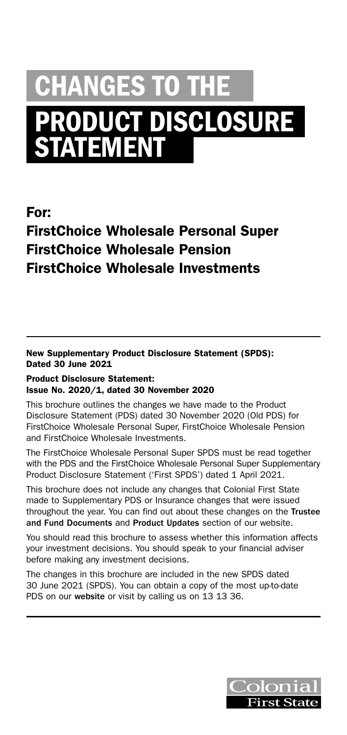# CHANGES TO THE PRODUCT DISCLOSURE **STATEMENT**

## For:

# FirstChoice Wholesale Personal Super FirstChoice Wholesale Pension FirstChoice Wholesale Investments

#### New Supplementary Product Disclosure Statement (SPDS): Dated 30 June 2021

#### Product Disclosure Statement: Issue No. 2020/1, dated 30 November 2020

This brochure outlines the changes we have made to the Product Disclosure Statement (PDS) dated 30 November 2020 (Old PDS) for FirstChoice Wholesale Personal Super, FirstChoice Wholesale Pension and FirstChoice Wholesale Investments.

The FirstChoice Wholesale Personal Super SPDS must be read together with the PDS and the FirstChoice Wholesale Personal Super Supplementary Product Disclosure Statement ('First SPDS') dated 1 April 2021.

This brochure does not include any changes that Colonial First State made to Supplementary PDS or Insurance changes that were issued throughout the year. You can find out about these changes on the [Trustee](https://www3.colonialfirststate.com.au/about-us/corporate-governance/trustee-and-fund-documents.html) [and Fund Documents](https://www3.colonialfirststate.com.au/about-us/corporate-governance/trustee-and-fund-documents.html) and [Product Updates](https://www3.colonialfirststate.com.au/personal/products/products-and-update.html) section of our website.

You should read this brochure to assess whether this information affects your investment decisions. You should speak to your financial adviser before making any investment decisions.

The changes in this brochure are included in the new SPDS dated 30 June 2021 (SPDS). You can obtain a copy of the most up-to-date PDS on our [website](https://www3.colonialfirststate.com.au/personal/resources/pds.html) or visit by calling us on 13 13 36.

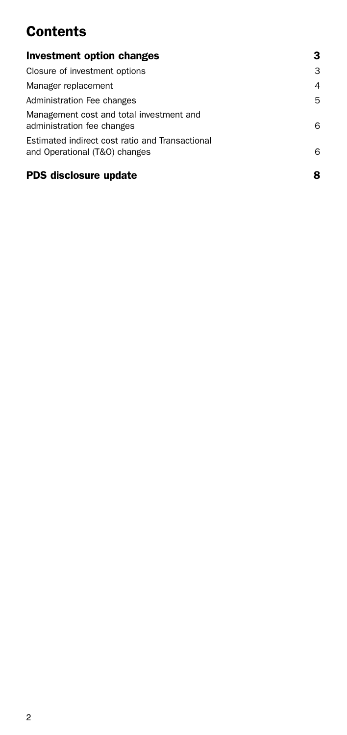# **Contents**

| Investment option changes                                                        | з |
|----------------------------------------------------------------------------------|---|
| Closure of investment options                                                    | 3 |
| Manager replacement                                                              | 4 |
| Administration Fee changes                                                       | 5 |
| Management cost and total investment and<br>administration fee changes           | 6 |
| Estimated indirect cost ratio and Transactional<br>and Operational (T&O) changes | 6 |
| PDS disclosure update                                                            | 8 |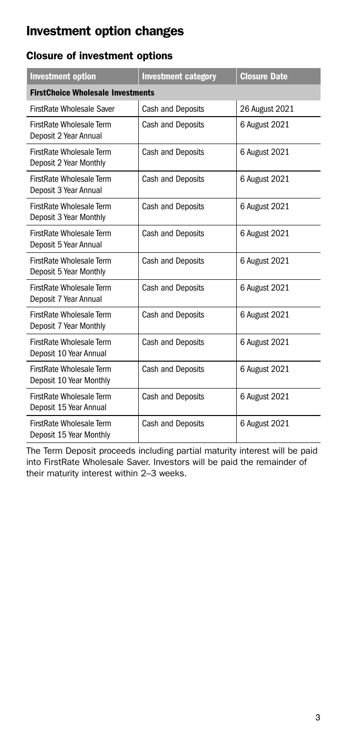# <span id="page-2-0"></span>Investment option changes

### Closure of investment options

| <b>Investment option</b>                                   | <b>Investment category</b> | <b>Closure Date</b> |  |
|------------------------------------------------------------|----------------------------|---------------------|--|
| <b>FirstChoice Wholesale Investments</b>                   |                            |                     |  |
| FirstRate Wholesale Saver                                  | Cash and Deposits          | 26 August 2021      |  |
| FirstRate Wholesale Term<br>Deposit 2 Year Annual          | Cash and Deposits          | 6 August 2021       |  |
| <b>FirstRate Wholesale Term</b><br>Deposit 2 Year Monthly  | Cash and Deposits          | 6 August 2021       |  |
| FirstRate Wholesale Term<br>Deposit 3 Year Annual          | Cash and Deposits          | 6 August 2021       |  |
| FirstRate Wholesale Term<br>Deposit 3 Year Monthly         | Cash and Deposits          | 6 August 2021       |  |
| FirstRate Wholesale Term<br>Deposit 5 Year Annual          | Cash and Deposits          | 6 August 2021       |  |
| <b>FirstRate Wholesale Term</b><br>Deposit 5 Year Monthly  | Cash and Deposits          | 6 August 2021       |  |
| <b>FirstRate Wholesale Term</b><br>Deposit 7 Year Annual   | Cash and Deposits          | 6 August 2021       |  |
| FirstRate Wholesale Term<br>Deposit 7 Year Monthly         | Cash and Deposits          | 6 August 2021       |  |
| <b>FirstRate Wholesale Term</b><br>Deposit 10 Year Annual  | Cash and Deposits          | 6 August 2021       |  |
| <b>FirstRate Wholesale Term</b><br>Deposit 10 Year Monthly | Cash and Deposits          | 6 August 2021       |  |
| <b>FirstRate Wholesale Term</b><br>Deposit 15 Year Annual  | Cash and Deposits          | 6 August 2021       |  |
| <b>FirstRate Wholesale Term</b><br>Deposit 15 Year Monthly | Cash and Deposits          | 6 August 2021       |  |

The Term Deposit proceeds including partial maturity interest will be paid into FirstRate Wholesale Saver. Investors will be paid the remainder of their maturity interest within 2–3 weeks.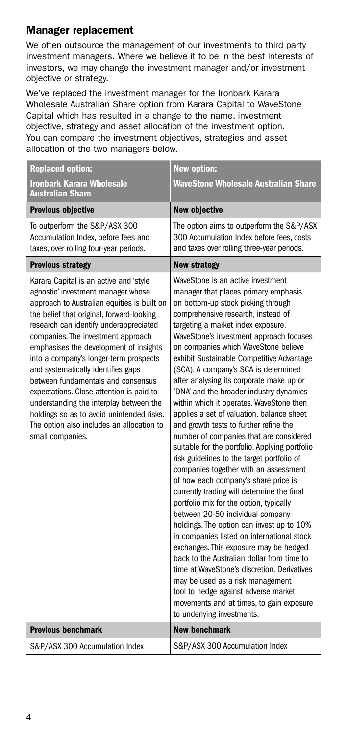#### <span id="page-3-0"></span>Manager replacement

We often outsource the management of our investments to third party investment managers. Where we believe it to be in the best interests of investors, we may change the investment manager and/or investment objective or strategy.

We've replaced the investment manager for the Ironbark Karara Wholesale Australian Share option from Karara Capital to WaveStone Capital which has resulted in a change to the name, investment objective, strategy and asset allocation of the investment option. You can compare the investment objectives, strategies and asset allocation of the two managers below.

| <b>Replaced option:</b>                                                                                                                                                                                                                                                                                                                                                                                                                                                                                                                                                                                                       | <b>New option:</b>                                                                                                                                                                                                                                                                                                                                                                                                                                                                                                                                                                                                                                                                                                                                                                                                                                                                                                                                                                                                                                                                                                                                                                                                                                                                                                                             |
|-------------------------------------------------------------------------------------------------------------------------------------------------------------------------------------------------------------------------------------------------------------------------------------------------------------------------------------------------------------------------------------------------------------------------------------------------------------------------------------------------------------------------------------------------------------------------------------------------------------------------------|------------------------------------------------------------------------------------------------------------------------------------------------------------------------------------------------------------------------------------------------------------------------------------------------------------------------------------------------------------------------------------------------------------------------------------------------------------------------------------------------------------------------------------------------------------------------------------------------------------------------------------------------------------------------------------------------------------------------------------------------------------------------------------------------------------------------------------------------------------------------------------------------------------------------------------------------------------------------------------------------------------------------------------------------------------------------------------------------------------------------------------------------------------------------------------------------------------------------------------------------------------------------------------------------------------------------------------------------|
| <b>Ironbark Karara Wholesale</b><br><b>Australian Share</b>                                                                                                                                                                                                                                                                                                                                                                                                                                                                                                                                                                   | <b>WaveStone Wholesale Australian Share</b>                                                                                                                                                                                                                                                                                                                                                                                                                                                                                                                                                                                                                                                                                                                                                                                                                                                                                                                                                                                                                                                                                                                                                                                                                                                                                                    |
| <b>Previous objective</b>                                                                                                                                                                                                                                                                                                                                                                                                                                                                                                                                                                                                     | <b>New objective</b>                                                                                                                                                                                                                                                                                                                                                                                                                                                                                                                                                                                                                                                                                                                                                                                                                                                                                                                                                                                                                                                                                                                                                                                                                                                                                                                           |
| To outperform the S&P/ASX 300<br>Accumulation Index, before fees and<br>taxes, over rolling four-year periods.                                                                                                                                                                                                                                                                                                                                                                                                                                                                                                                | The option aims to outperform the S&P/ASX<br>300 Accumulation Index before fees, costs<br>and taxes over rolling three-year periods.                                                                                                                                                                                                                                                                                                                                                                                                                                                                                                                                                                                                                                                                                                                                                                                                                                                                                                                                                                                                                                                                                                                                                                                                           |
| <b>Previous strategy</b>                                                                                                                                                                                                                                                                                                                                                                                                                                                                                                                                                                                                      | <b>New strategy</b>                                                                                                                                                                                                                                                                                                                                                                                                                                                                                                                                                                                                                                                                                                                                                                                                                                                                                                                                                                                                                                                                                                                                                                                                                                                                                                                            |
| Karara Capital is an active and 'style<br>agnostic' investment manager whose<br>approach to Australian equities is built on<br>the belief that original, forward-looking<br>research can identify underappreciated<br>companies. The investment approach<br>emphasises the development of insights<br>into a company's longer-term prospects<br>and systematically identifies gaps<br>between fundamentals and consensus<br>expectations. Close attention is paid to<br>understanding the interplay between the<br>holdings so as to avoid unintended risks.<br>The option also includes an allocation to<br>small companies. | WaveStone is an active investment<br>manager that places primary emphasis<br>on bottom-up stock picking through<br>comprehensive research, instead of<br>targeting a market index exposure.<br>WaveStone's investment approach focuses<br>on companies which WaveStone believe<br>exhibit Sustainable Competitive Advantage<br>(SCA). A company's SCA is determined<br>after analysing its corporate make up or<br>'DNA' and the broader industry dynamics<br>within which it operates. WaveStone then<br>applies a set of valuation, balance sheet<br>and growth tests to further refine the<br>number of companies that are considered<br>suitable for the portfolio. Applying portfolio<br>risk guidelines to the target portfolio of<br>companies together with an assessment<br>of how each company's share price is<br>currently trading will determine the final<br>portfolio mix for the option, typically<br>between 20-50 individual company<br>holdings. The option can invest up to 10%<br>in companies listed on international stock<br>exchanges. This exposure may be hedged<br>back to the Australian dollar from time to<br>time at WaveStone's discretion. Derivatives<br>may be used as a risk management<br>tool to hedge against adverse market<br>movements and at times, to gain exposure<br>to underlying investments. |
| <b>Previous benchmark</b>                                                                                                                                                                                                                                                                                                                                                                                                                                                                                                                                                                                                     | <b>New benchmark</b>                                                                                                                                                                                                                                                                                                                                                                                                                                                                                                                                                                                                                                                                                                                                                                                                                                                                                                                                                                                                                                                                                                                                                                                                                                                                                                                           |
| S&P/ASX 300 Accumulation Index                                                                                                                                                                                                                                                                                                                                                                                                                                                                                                                                                                                                | S&P/ASX 300 Accumulation Index                                                                                                                                                                                                                                                                                                                                                                                                                                                                                                                                                                                                                                                                                                                                                                                                                                                                                                                                                                                                                                                                                                                                                                                                                                                                                                                 |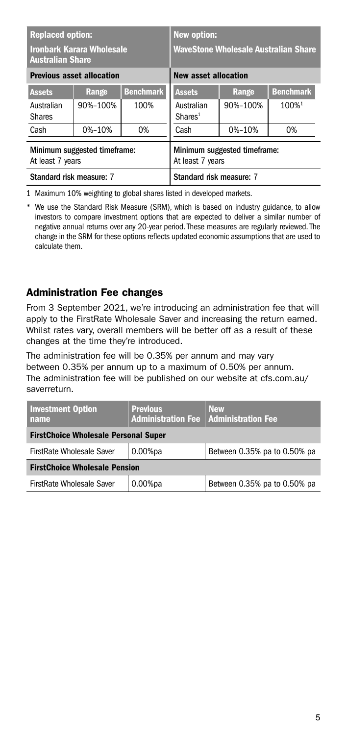<span id="page-4-0"></span>

| <b>Replaced option:</b><br><b>Ironbark Karara Wholesale</b><br><b>Australian Share</b> |            | <b>New option:</b><br><b>WaveStone Wholesale Australian Share</b> |                                   |            |                   |
|----------------------------------------------------------------------------------------|------------|-------------------------------------------------------------------|-----------------------------------|------------|-------------------|
| <b>Previous asset allocation</b>                                                       |            | <b>New asset allocation</b>                                       |                                   |            |                   |
| <b>Assets</b>                                                                          | Range      | <b>Benchmark</b>                                                  | <b>Assets</b>                     | Range      | <b>Benchmark</b>  |
| Australian<br><b>Shares</b>                                                            | 90%-100%   | 100%                                                              | Australian<br>Shares <sup>1</sup> | 90%-100%   | 100% <sup>1</sup> |
| Cash                                                                                   | $0% - 10%$ | 0%                                                                | Cash                              | $0% - 10%$ | 0%                |
| Minimum suggested timeframe:<br>At least 7 years                                       |            | Minimum suggested timeframe:<br>At least 7 years                  |                                   |            |                   |
| Standard risk measure: 7                                                               |            | Standard risk measure: 7                                          |                                   |            |                   |

1 Maximum 10% weighting to global shares listed in developed markets.

\* We use the Standard Risk Measure (SRM), which is based on industry guidance, to allow investors to compare investment options that are expected to deliver a similar number of negative annual returns over any 20-year period. These measures are regularly reviewed. The change in the SRM for these options reflects updated economic assumptions that are used to calculate them.

#### Administration Fee changes

From 3 September 2021, we're introducing an administration fee that will apply to the FirstRate Wholesale Saver and increasing the return earned. Whilst rates vary, overall members will be better off as a result of these changes at the time they're introduced.

The administration fee will be 0.35% per annum and may vary between 0.35% per annum up to a maximum of 0.50% per annum. The administration fee will be published on our website at cfs.com.au/ saverreturn.

| <b>Investment Option</b><br>name            | <b>Previous</b><br>Administration Fee   Administration Fee | <b>New</b>                   |
|---------------------------------------------|------------------------------------------------------------|------------------------------|
| <b>FirstChoice Wholesale Personal Super</b> |                                                            |                              |
| <b>FirstRate Wholesale Saver</b>            | $0.00%$ pa                                                 | Between 0.35% pa to 0.50% pa |
| <b>FirstChoice Wholesale Pension</b>        |                                                            |                              |
| <b>FirstRate Wholesale Saver</b>            | $0.00%$ pa                                                 | Between 0.35% pa to 0.50% pa |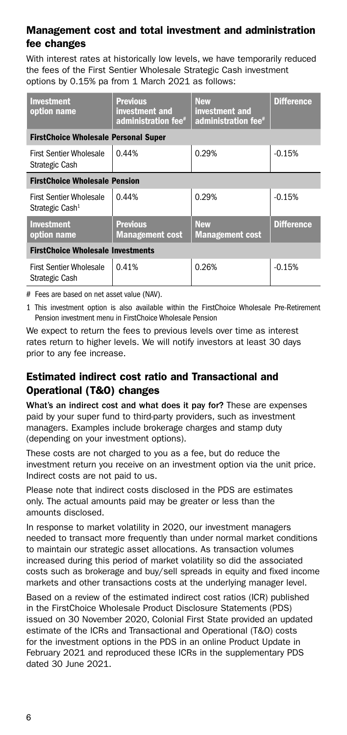#### <span id="page-5-0"></span>Management cost and total investment and administration fee changes

With interest rates at historically low levels, we have temporarily reduced the fees of the First Sentier Wholesale Strategic Cash investment options by 0.15% pa from 1 March 2021 as follows:

| <b>Investment</b><br>option name                              | <b>Previous</b><br>investment and<br>administration fee <sup>#</sup> | <b>New</b><br>investment and<br>administration fee <sup>#</sup> | <b>Difference</b> |
|---------------------------------------------------------------|----------------------------------------------------------------------|-----------------------------------------------------------------|-------------------|
| <b>FirstChoice Wholesale Personal Super</b>                   |                                                                      |                                                                 |                   |
| <b>First Sentier Wholesale</b><br>Strategic Cash              | 0.44%                                                                | 0.29%                                                           | $-0.15%$          |
| <b>FirstChoice Wholesale Pension</b>                          |                                                                      |                                                                 |                   |
| <b>First Sentier Wholesale</b><br>Strategic Cash <sup>1</sup> | 0.44%                                                                | 0.29%                                                           | $-0.15%$          |
| Investment<br>option name                                     | <b>Previous</b><br><b>Management cost</b>                            | <b>New</b><br><b>Management cost</b>                            | <b>Difference</b> |
| <b>FirstChoice Wholesale Investments</b>                      |                                                                      |                                                                 |                   |
| <b>First Sentier Wholesale</b><br>Strategic Cash              | 0.41%                                                                | 0.26%                                                           | $-0.15%$          |

# Fees are based on net asset value (NAV).

1 This investment option is also available within the FirstChoice Wholesale Pre-Retirement Pension investment menu in FirstChoice Wholesale Pension

We expect to return the fees to previous levels over time as interest rates return to higher levels. We will notify investors at least 30 days prior to any fee increase.

#### Estimated indirect cost ratio and Transactional and Operational (T&O) changes

What's an indirect cost and what does it pay for? These are expenses paid by your super fund to third-party providers, such as investment managers. Examples include brokerage charges and stamp duty (depending on your investment options).

These costs are not charged to you as a fee, but do reduce the investment return you receive on an investment option via the unit price. Indirect costs are not paid to us.

Please note that indirect costs disclosed in the PDS are estimates only. The actual amounts paid may be greater or less than the amounts disclosed.

In response to market volatility in 2020, our investment managers needed to transact more frequently than under normal market conditions to maintain our strategic asset allocations. As transaction volumes increased during this period of market volatility so did the associated costs such as brokerage and buy/sell spreads in equity and fixed income markets and other transactions costs at the underlying manager level.

Based on a review of the estimated indirect cost ratios (ICR) published in the FirstChoice Wholesale Product Disclosure Statements (PDS) issued on 30 November 2020, Colonial First State provided an updated estimate of the ICRs and Transactional and Operational (T&O) costs for the investment options in the PDS in an online Product Update in February 2021 and reproduced these ICRs in the supplementary PDS dated 30 June 2021.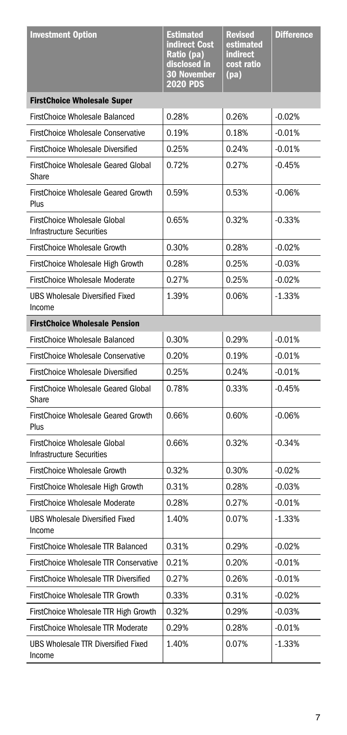| <b>Investment Option</b>                                                | <b>Estimated</b><br>indirect Cost<br>Ratio (pa)<br>disclosed in<br><b>30 November</b><br>2020 PDS | <b>Revised</b><br>estimated<br>indirect<br>cost ratio<br>(pa) | <b>Difference</b> |
|-------------------------------------------------------------------------|---------------------------------------------------------------------------------------------------|---------------------------------------------------------------|-------------------|
| <b>FirstChoice Wholesale Super</b>                                      |                                                                                                   |                                                               |                   |
| <b>FirstChoice Wholesale Balanced</b>                                   | 0.28%                                                                                             | 0.26%                                                         | $-0.02%$          |
| FirstChoice Wholesale Conservative                                      | 0.19%                                                                                             | 0.18%                                                         | $-0.01%$          |
| FirstChoice Wholesale Diversified                                       | 0.25%                                                                                             | 0.24%                                                         | $-0.01%$          |
| FirstChoice Wholesale Geared Global<br>Share                            | 0.72%                                                                                             | 0.27%                                                         | $-0.45%$          |
| FirstChoice Wholesale Geared Growth<br>Plus                             | 0.59%                                                                                             | 0.53%                                                         | $-0.06%$          |
| FirstChoice Wholesale Global<br><b>Infrastructure Securities</b>        | 0.65%                                                                                             | 0.32%                                                         | $-0.33%$          |
| FirstChoice Wholesale Growth                                            | 0.30%                                                                                             | 0.28%                                                         | $-0.02%$          |
| FirstChoice Wholesale High Growth                                       | 0.28%                                                                                             | 0.25%                                                         | $-0.03%$          |
| FirstChoice Wholesale Moderate                                          | 0.27%                                                                                             | 0.25%                                                         | $-0.02%$          |
| <b>UBS Wholesale Diversified Fixed</b><br>Income                        | 1.39%                                                                                             | 0.06%                                                         | $-1.33%$          |
| <b>FirstChoice Wholesale Pension</b>                                    |                                                                                                   |                                                               |                   |
| FirstChoice Wholesale Balanced                                          | 0.30%                                                                                             | 0.29%                                                         | $-0.01%$          |
| <b>FirstChoice Wholesale Conservative</b>                               | 0.20%                                                                                             | 0.19%                                                         | $-0.01%$          |
| FirstChoice Wholesale Diversified                                       | 0.25%                                                                                             | 0.24%                                                         | $-0.01%$          |
| FirstChoice Wholesale Geared Global<br>Share                            | 0.78%                                                                                             | 0.33%                                                         | $-0.45%$          |
| FirstChoice Wholesale Geared Growth<br>Plus                             | 0.66%                                                                                             | 0.60%                                                         | $-0.06%$          |
| <b>FirstChoice Wholesale Global</b><br><b>Infrastructure Securities</b> | 0.66%                                                                                             | 0.32%                                                         | $-0.34%$          |
| FirstChoice Wholesale Growth                                            | 0.32%                                                                                             | 0.30%                                                         | $-0.02%$          |
| FirstChoice Wholesale High Growth                                       | 0.31%                                                                                             | 0.28%                                                         | $-0.03%$          |
| <b>FirstChoice Wholesale Moderate</b>                                   | 0.28%                                                                                             | 0.27%                                                         | -0.01%            |
| <b>UBS Wholesale Diversified Fixed</b><br>Income                        | 1.40%                                                                                             | 0.07%                                                         | $-1.33%$          |
| FirstChoice Wholesale TTR Balanced                                      | 0.31%                                                                                             | 0.29%                                                         | $-0.02%$          |
| FirstChoice Wholesale TTR Conservative                                  | 0.21%                                                                                             | 0.20%                                                         | $-0.01%$          |
| FirstChoice Wholesale TTR Diversified                                   | 0.27%                                                                                             | 0.26%                                                         | $-0.01%$          |
| FirstChoice Wholesale TTR Growth                                        | 0.33%                                                                                             | 0.31%                                                         | $-0.02%$          |
| FirstChoice Wholesale TTR High Growth                                   | 0.32%                                                                                             | 0.29%                                                         | $-0.03%$          |
| FirstChoice Wholesale TTR Moderate                                      | 0.29%                                                                                             | 0.28%                                                         | $-0.01%$          |
| <b>UBS Wholesale TTR Diversified Fixed</b><br>Income                    | 1.40%                                                                                             | 0.07%                                                         | $-1.33%$          |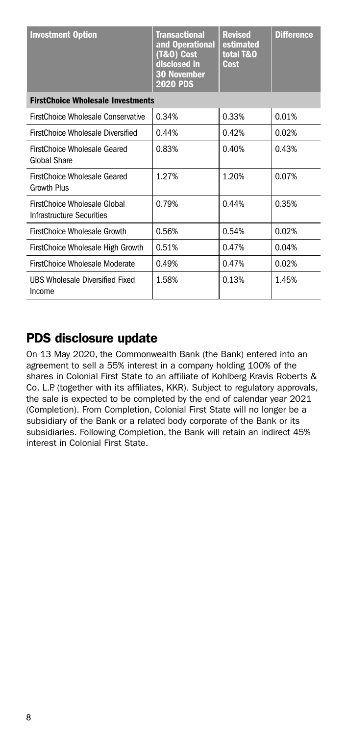<span id="page-7-0"></span>

| <b>Investment Option</b>                                  | <b>Transactional</b><br>and Operational<br>(T&O) Cost<br>disclosed in<br><b>30 November</b><br><b>2020 PDS</b> | <b>Revised</b><br>estimated<br>total T&O<br><b>Cost</b> | <b>Difference</b> |
|-----------------------------------------------------------|----------------------------------------------------------------------------------------------------------------|---------------------------------------------------------|-------------------|
| <b>FirstChoice Wholesale Investments</b>                  |                                                                                                                |                                                         |                   |
| FirstChoice Wholesale Conservative                        | 0.34%                                                                                                          | 0.33%                                                   | 0.01%             |
| FirstChoice Wholesale Diversified                         | 0.44%                                                                                                          | 0.42%                                                   | 0.02%             |
| FirstChoice Wholesale Geared<br>Global Share              | 0.83%                                                                                                          | 0.40%                                                   | 0.43%             |
| FirstChoice Wholesale Geared<br><b>Growth Plus</b>        | 1.27%                                                                                                          | 1.20%                                                   | 0.07%             |
| FirstChoice Wholesale Global<br>Infrastructure Securities | 0.79%                                                                                                          | 0.44%                                                   | 0.35%             |
| FirstChoice Wholesale Growth                              | 0.56%                                                                                                          | 0.54%                                                   | 0.02%             |
| FirstChoice Wholesale High Growth                         | 0.51%                                                                                                          | 0.47%                                                   | 0.04%             |
| FirstChoice Wholesale Moderate                            | 0.49%                                                                                                          | 0.47%                                                   | 0.02%             |
| UBS Wholesale Diversified Fixed<br>Income                 | 1.58%                                                                                                          | 0.13%                                                   | 1.45%             |

## PDS disclosure update

On 13 May 2020, the Commonwealth Bank (the Bank) entered into an agreement to sell a 55% interest in a company holding 100% of the shares in Colonial First State to an affiliate of Kohlberg Kravis Roberts & Co. L.P. (together with its affiliates, KKR). Subject to regulatory approvals, the sale is expected to be completed by the end of calendar year 2021 (Completion). From Completion, Colonial First State will no longer be a subsidiary of the Bank or a related body corporate of the Bank or its subsidiaries. Following Completion, the Bank will retain an indirect 45% interest in Colonial First State.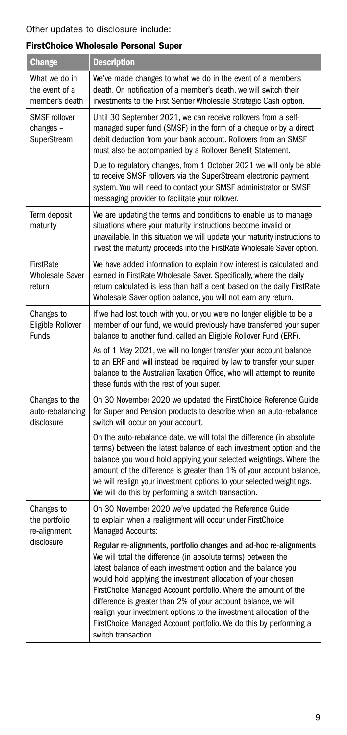#### FirstChoice Wholesale Personal Super

| <b>Change</b>                                     | <b>Description</b>                                                                                                                                                                                                                                                                                                                                                                                                                                                                                                                                                       |
|---------------------------------------------------|--------------------------------------------------------------------------------------------------------------------------------------------------------------------------------------------------------------------------------------------------------------------------------------------------------------------------------------------------------------------------------------------------------------------------------------------------------------------------------------------------------------------------------------------------------------------------|
| What we do in<br>the event of a<br>member's death | We've made changes to what we do in the event of a member's<br>death. On notification of a member's death, we will switch their<br>investments to the First Sentier Wholesale Strategic Cash option.                                                                                                                                                                                                                                                                                                                                                                     |
| <b>SMSF</b> rollover<br>changes-<br>SuperStream   | Until 30 September 2021, we can receive rollovers from a self-<br>managed super fund (SMSF) in the form of a cheque or by a direct<br>debit deduction from your bank account. Rollovers from an SMSF<br>must also be accompanied by a Rollover Benefit Statement.                                                                                                                                                                                                                                                                                                        |
|                                                   | Due to regulatory changes, from 1 October 2021 we will only be able<br>to receive SMSF rollovers via the SuperStream electronic payment<br>system. You will need to contact your SMSF administrator or SMSF<br>messaging provider to facilitate your rollover.                                                                                                                                                                                                                                                                                                           |
| Term deposit<br>maturity                          | We are updating the terms and conditions to enable us to manage<br>situations where your maturity instructions become invalid or<br>unavailable. In this situation we will update your maturity instructions to<br>invest the maturity proceeds into the FirstRate Wholesale Saver option.                                                                                                                                                                                                                                                                               |
| FirstRate<br><b>Wholesale Saver</b><br>return     | We have added information to explain how interest is calculated and<br>earned in FirstRate Wholesale Saver. Specifically, where the daily<br>return calculated is less than half a cent based on the daily FirstRate<br>Wholesale Saver option balance, you will not earn any return.                                                                                                                                                                                                                                                                                    |
| Changes to<br>Eligible Rollover<br>Funds          | If we had lost touch with you, or you were no longer eligible to be a<br>member of our fund, we would previously have transferred your super<br>balance to another fund, called an Eligible Rollover Fund (ERF).                                                                                                                                                                                                                                                                                                                                                         |
|                                                   | As of 1 May 2021, we will no longer transfer your account balance<br>to an ERF and will instead be required by law to transfer your super<br>balance to the Australian Taxation Office, who will attempt to reunite<br>these funds with the rest of your super.                                                                                                                                                                                                                                                                                                          |
| Changes to the<br>auto-rebalancing<br>disclosure  | On 30 November 2020 we updated the FirstChoice Reference Guide<br>for Super and Pension products to describe when an auto-rebalance<br>switch will occur on your account.                                                                                                                                                                                                                                                                                                                                                                                                |
|                                                   | On the auto-rebalance date, we will total the difference (in absolute<br>terms) between the latest balance of each investment option and the<br>balance you would hold applying your selected weightings. Where the<br>amount of the difference is greater than 1% of your account balance,<br>we will realign your investment options to your selected weightings.<br>We will do this by performing a switch transaction.                                                                                                                                               |
| Changes to<br>the portfolio<br>re-alignment       | On 30 November 2020 we've updated the Reference Guide<br>to explain when a realignment will occur under FirstChoice<br>Managed Accounts:                                                                                                                                                                                                                                                                                                                                                                                                                                 |
| disclosure                                        | Regular re-alignments, portfolio changes and ad-hoc re-alignments<br>We will total the difference (in absolute terms) between the<br>latest balance of each investment option and the balance you<br>would hold applying the investment allocation of your chosen<br>FirstChoice Managed Account portfolio. Where the amount of the<br>difference is greater than 2% of your account balance, we will<br>realign your investment options to the investment allocation of the<br>FirstChoice Managed Account portfolio. We do this by performing a<br>switch transaction. |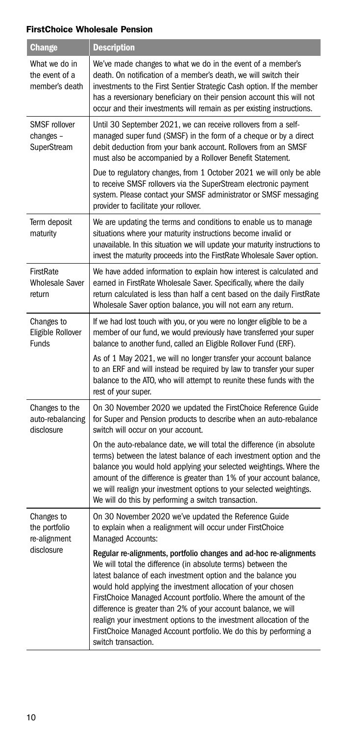#### FirstChoice Wholesale Pension

| Change                                            | <b>Description</b>                                                                                                                                                                                                                                                                                                                                                                                                                                                                                                                                                       |
|---------------------------------------------------|--------------------------------------------------------------------------------------------------------------------------------------------------------------------------------------------------------------------------------------------------------------------------------------------------------------------------------------------------------------------------------------------------------------------------------------------------------------------------------------------------------------------------------------------------------------------------|
| What we do in<br>the event of a<br>member's death | We've made changes to what we do in the event of a member's<br>death. On notification of a member's death, we will switch their<br>investments to the First Sentier Strategic Cash option. If the member<br>has a reversionary beneficiary on their pension account this will not<br>occur and their investments will remain as per existing instructions.                                                                                                                                                                                                               |
| SMSF rollover<br>changes-<br>SuperStream          | Until 30 September 2021, we can receive rollovers from a self-<br>managed super fund (SMSF) in the form of a cheque or by a direct<br>debit deduction from your bank account. Rollovers from an SMSF<br>must also be accompanied by a Rollover Benefit Statement.                                                                                                                                                                                                                                                                                                        |
|                                                   | Due to regulatory changes, from 1 October 2021 we will only be able<br>to receive SMSF rollovers via the SuperStream electronic payment<br>system. Please contact your SMSF administrator or SMSF messaging<br>provider to facilitate your rollover.                                                                                                                                                                                                                                                                                                                     |
| Term deposit<br>maturity                          | We are updating the terms and conditions to enable us to manage<br>situations where your maturity instructions become invalid or<br>unavailable. In this situation we will update your maturity instructions to<br>invest the maturity proceeds into the FirstRate Wholesale Saver option.                                                                                                                                                                                                                                                                               |
| FirstRate<br><b>Wholesale Saver</b><br>return     | We have added information to explain how interest is calculated and<br>earned in FirstRate Wholesale Saver. Specifically, where the daily<br>return calculated is less than half a cent based on the daily FirstRate<br>Wholesale Saver option balance, you will not earn any return.                                                                                                                                                                                                                                                                                    |
| Changes to<br>Eligible Rollover<br>Funds          | If we had lost touch with you, or you were no longer eligible to be a<br>member of our fund, we would previously have transferred your super<br>balance to another fund, called an Eligible Rollover Fund (ERF).                                                                                                                                                                                                                                                                                                                                                         |
|                                                   | As of 1 May 2021, we will no longer transfer your account balance<br>to an ERF and will instead be required by law to transfer your super<br>balance to the ATO, who will attempt to reunite these funds with the<br>rest of your super.                                                                                                                                                                                                                                                                                                                                 |
| Changes to the<br>auto-rebalancing<br>disclosure  | On 30 November 2020 we updated the FirstChoice Reference Guide<br>for Super and Pension products to describe when an auto-rebalance<br>switch will occur on your account.                                                                                                                                                                                                                                                                                                                                                                                                |
|                                                   | On the auto-rebalance date, we will total the difference (in absolute<br>terms) between the latest balance of each investment option and the<br>balance you would hold applying your selected weightings. Where the<br>amount of the difference is greater than 1% of your account balance,<br>we will realign your investment options to your selected weightings.<br>We will do this by performing a switch transaction.                                                                                                                                               |
| Changes to<br>the portfolio<br>re-alignment       | On 30 November 2020 we've updated the Reference Guide<br>to explain when a realignment will occur under FirstChoice<br>Managed Accounts:                                                                                                                                                                                                                                                                                                                                                                                                                                 |
| disclosure                                        | Regular re-alignments, portfolio changes and ad-hoc re-alignments<br>We will total the difference (in absolute terms) between the<br>latest balance of each investment option and the balance you<br>would hold applying the investment allocation of your chosen<br>FirstChoice Managed Account portfolio. Where the amount of the<br>difference is greater than 2% of your account balance, we will<br>realign your investment options to the investment allocation of the<br>FirstChoice Managed Account portfolio. We do this by performing a<br>switch transaction. |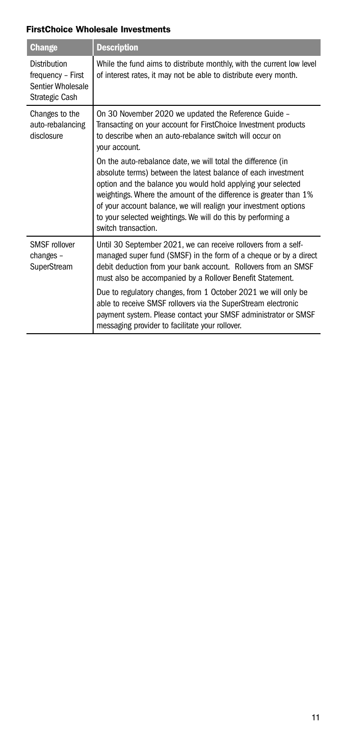#### FirstChoice Wholesale Investments

| <b>Change</b>                                                            | <b>Description</b>                                                                                                                                                                                                                                                                                                                                                                                                            |
|--------------------------------------------------------------------------|-------------------------------------------------------------------------------------------------------------------------------------------------------------------------------------------------------------------------------------------------------------------------------------------------------------------------------------------------------------------------------------------------------------------------------|
| Distribution<br>frequency - First<br>Sentier Wholesale<br>Strategic Cash | While the fund aims to distribute monthly, with the current low level<br>of interest rates, it may not be able to distribute every month.                                                                                                                                                                                                                                                                                     |
| Changes to the<br>auto-rebalancing<br>disclosure                         | On 30 November 2020 we updated the Reference Guide -<br>Transacting on your account for FirstChoice Investment products<br>to describe when an auto-rebalance switch will occur on<br>your account.                                                                                                                                                                                                                           |
|                                                                          | On the auto-rebalance date, we will total the difference (in<br>absolute terms) between the latest balance of each investment<br>option and the balance you would hold applying your selected<br>weightings. Where the amount of the difference is greater than 1%<br>of your account balance, we will realign your investment options<br>to your selected weightings. We will do this by performing a<br>switch transaction. |
| <b>SMSF</b> rollover<br>changes-<br>SuperStream                          | Until 30 September 2021, we can receive rollovers from a self-<br>managed super fund (SMSF) in the form of a cheque or by a direct<br>debit deduction from your bank account. Rollovers from an SMSF<br>must also be accompanied by a Rollover Benefit Statement.                                                                                                                                                             |
|                                                                          | Due to regulatory changes, from 1 October 2021 we will only be<br>able to receive SMSF rollovers via the SuperStream electronic<br>payment system. Please contact your SMSF administrator or SMSF<br>messaging provider to facilitate your rollover.                                                                                                                                                                          |